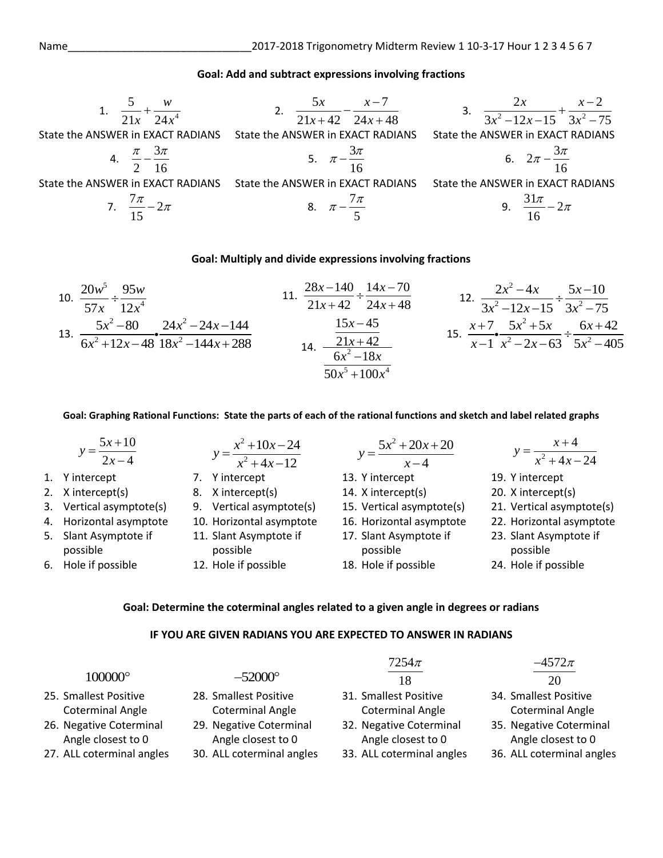#### **Goal: Add and subtract expressions involving fractions**

1. 
$$
\frac{5}{21x} + \frac{w}{24x^4}
$$
  
\n2.  $\frac{5x}{21x + 42} - \frac{x-7}{24x + 48}$   
\n3.  $\frac{2x}{3x^2 - 12x - 15} + \frac{x-2}{3x^2 - 75}$   
\nState the ANSWER in EXACT RADIANS State the ANSWER in EXACT RADIANS State the ANSWER in EXACT RADIANS  
\n4.  $\frac{\pi}{2} - \frac{3\pi}{16}$   
\nState the ANSWER in EXACT RADIANS State the ANSWER in EXACT RADIANS State the ANSWER in EXACT RADIANS  
\n5.  $\pi - \frac{3\pi}{16}$   
\n6.  $2\pi - \frac{3\pi}{16}$   
\n7.  $\frac{7\pi}{15} - 2\pi$   
\n8.  $\pi - \frac{7\pi}{5}$   
\n9.  $\frac{31\pi}{16} - 2\pi$ 

#### **Goal: Multiply and divide expressions involving fractions**

10. 
$$
\frac{20w^5}{57x} \div \frac{95w}{12x^4}
$$
  
11. 
$$
\frac{28x-140}{21x+42} \div \frac{14x-70}{24x+48}
$$
  
12. 
$$
\frac{2x^2-4x}{3x^2-12x-15} \div \frac{5x-10}{3x^2-75}
$$
  
13. 
$$
\frac{5x^2-80}{6x^2+12x-48} \cdot \frac{24x^2-24x-144}{18x^2-144x+288}
$$
  
14. 
$$
\frac{15x-45}{6x^2-18x}
$$
  
15. 
$$
\frac{x+7}{x-1} \cdot \frac{5x^2+5x}{x^2-2x-63} \div \frac{6x+42}{5x^2-405}
$$

**Goal: Graphing Rational Functions: State the parts of each of the rational functions and sketch and label related graphs**

| $y = \frac{5x+10}{2x-4}$          | $y = \frac{x^2 + 10x - 24}{x^2 + 4x - 12}$ | $5x^2 + 20x + 20$<br>$y = \frac{\overline{x-4}}{x-4}$ | $y = \frac{x+4}{x^2+4x-24}$        |
|-----------------------------------|--------------------------------------------|-------------------------------------------------------|------------------------------------|
| 1. Y intercept                    | 7. Y intercept                             | 13. Y intercept                                       | 19. Y intercept                    |
| 2. X intercept(s)                 | 8. X intercept(s)                          | 14. X intercept(s)                                    | 20. X intercept(s)                 |
| 3. Vertical asymptote(s)          | 9. Vertical asymptote(s)                   | 15. Vertical asymptote(s)                             | 21. Vertical asymptote(s)          |
| 4. Horizontal asymptote           | 10. Horizontal asymptote                   | 16. Horizontal asymptote                              | 22. Horizontal asymptote           |
| 5. Slant Asymptote if<br>possible | 11. Slant Asymptote if<br>possible         | 17. Slant Asymptote if<br>possible                    | 23. Slant Asymptote if<br>possible |
| 6. Hole if possible               | 12. Hole if possible                       | 18. Hole if possible                                  | 24. Hole if possible               |
|                                   |                                            |                                                       |                                    |

**Goal: Determine the coterminal angles related to a given angle in degrees or radians**

### **IF YOU ARE GIVEN RADIANS YOU ARE EXPECTED TO ANSWER IN RADIANS**

|                           |                           | $7254\pi$                 | $-4572\pi$                |
|---------------------------|---------------------------|---------------------------|---------------------------|
| 100000°                   | $-52000^{\circ}$          | 18                        | 20                        |
| 25. Smallest Positive     | 28. Smallest Positive     | 31. Smallest Positive     | 34. Smallest Positive     |
| <b>Coterminal Angle</b>   | <b>Coterminal Angle</b>   | <b>Coterminal Angle</b>   | <b>Coterminal Angle</b>   |
| 26. Negative Coterminal   | 29. Negative Coterminal   | 32. Negative Coterminal   | 35. Negative Coterminal   |
| Angle closest to 0        | Angle closest to 0        | Angle closest to 0        | Angle closest to 0        |
| 27. ALL coterminal angles | 30. ALL coterminal angles | 33. ALL coterminal angles | 36. ALL coterminal angles |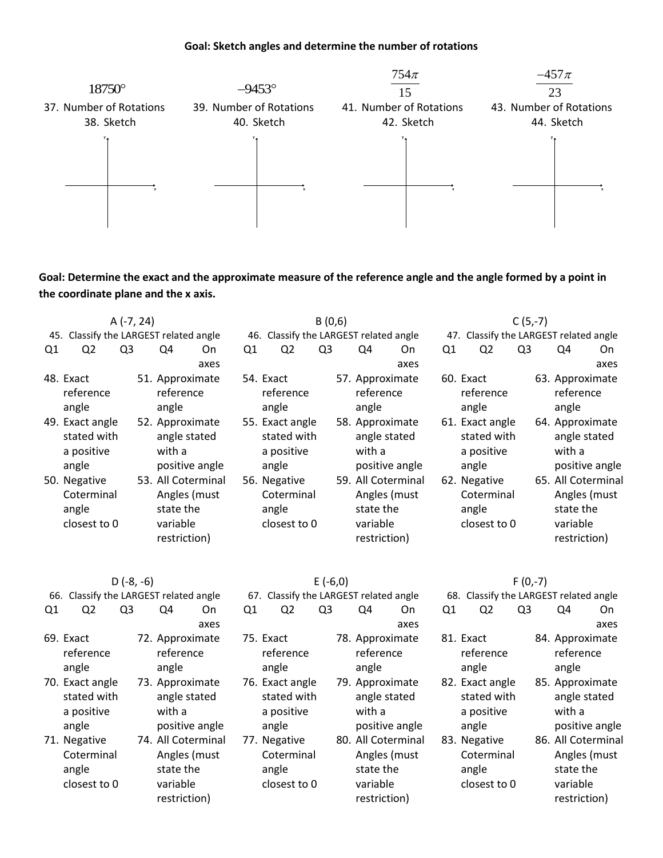#### **Goal: Sketch angles and determine the number of rotations**



**Goal: Determine the exact and the approximate measure of the reference angle and the angle formed by a point in the coordinate plane and the x axis.**

|     | $A (-7, 24)$                                          |                |  |                                                                             |      | B(0,6)         |       |                                              |                |  |                                                                             |      | $C(5,-7)$ |                                                       |                |  |                                                                             |      |
|-----|-------------------------------------------------------|----------------|--|-----------------------------------------------------------------------------|------|----------------|-------|----------------------------------------------|----------------|--|-----------------------------------------------------------------------------|------|-----------|-------------------------------------------------------|----------------|--|-----------------------------------------------------------------------------|------|
| 45. | Classify the LARGEST related angle                    |                |  |                                                                             |      | 46.            |       |                                              |                |  | Classify the LARGEST related angle                                          |      | 47.       | Classify the LARGEST related angle                    |                |  |                                                                             |      |
| Q1  | Q2                                                    | Q <sub>3</sub> |  | Q4                                                                          | 0n   | Q <sub>1</sub> |       | Q2                                           | Q <sub>3</sub> |  | Q4                                                                          | On   | Q1        | Q <sub>2</sub>                                        | Q <sub>3</sub> |  | Q4                                                                          | On   |
|     |                                                       |                |  |                                                                             | axes |                |       |                                              |                |  |                                                                             | axes |           |                                                       |                |  |                                                                             | axes |
|     | 48. Exact<br>reference<br>angle                       |                |  | 51. Approximate<br>reference<br>angle                                       |      | 54. Exact      | angle | reference                                    |                |  | 57. Approximate<br>reference<br>angle                                       |      |           | 60. Exact<br>reference<br>angle                       |                |  | 63. Approximate<br>reference<br>angle                                       |      |
|     | 49. Exact angle<br>stated with<br>a positive<br>angle |                |  | 52. Approximate<br>angle stated<br>with a<br>positive angle                 |      |                | angle | 55. Exact angle<br>stated with<br>a positive |                |  | 58. Approximate<br>angle stated<br>with a<br>positive angle                 |      |           | 61. Exact angle<br>stated with<br>a positive<br>angle |                |  | 64. Approximate<br>angle stated<br>with a<br>positive angle                 |      |
|     | 50. Negative<br>Coterminal<br>angle<br>closest to 0   |                |  | 53. All Coterminal<br>Angles (must<br>state the<br>variable<br>restriction) |      |                | angle | 56. Negative<br>Coterminal<br>closest to 0   |                |  | 59. All Coterminal<br>Angles (must<br>state the<br>variable<br>restriction) |      |           | 62. Negative<br>Coterminal<br>angle<br>closest to 0   |                |  | 65. All Coterminal<br>Angles (must<br>state the<br>variable<br>restriction) |      |

|    | $D(-8, -6)$<br>Classify the LARGEST related angle<br>66. |    |  |                                                                             | $E(-6,0)$<br>67. Classify the LARGEST related angle |           |       |                                              |    | $F(0,-7)$<br>Classify the LARGEST related angle<br>68. |                                                                             |      |    |                    |                                              |    |  |                                                                             |      |
|----|----------------------------------------------------------|----|--|-----------------------------------------------------------------------------|-----------------------------------------------------|-----------|-------|----------------------------------------------|----|--------------------------------------------------------|-----------------------------------------------------------------------------|------|----|--------------------|----------------------------------------------|----|--|-----------------------------------------------------------------------------|------|
|    |                                                          |    |  |                                                                             |                                                     |           |       |                                              |    |                                                        |                                                                             |      |    |                    |                                              |    |  |                                                                             |      |
| Q1 | Q2                                                       | Q3 |  | Q4                                                                          | On.                                                 | Q1        |       | Q2                                           | Q3 |                                                        | Q4                                                                          | On   | Q1 |                    | Q2                                           | Q3 |  | Q4                                                                          | On.  |
|    |                                                          |    |  |                                                                             | axes                                                |           |       |                                              |    |                                                        |                                                                             | axes |    |                    |                                              |    |  |                                                                             | axes |
|    | 69. Exact<br>reference<br>angle                          |    |  | 72. Approximate<br>reference<br>angle                                       |                                                     | 75. Exact | angle | reference                                    |    |                                                        | 78. Approximate<br>reference<br>angle                                       |      |    | 81. Exact<br>angle | reference                                    |    |  | 84. Approximate<br>reference<br>angle                                       |      |
|    | 70. Exact angle<br>stated with<br>a positive<br>angle    |    |  | 73. Approximate<br>angle stated<br>with a<br>positive angle                 |                                                     |           | angle | 76. Exact angle<br>stated with<br>a positive |    |                                                        | 79. Approximate<br>angle stated<br>with a<br>positive angle                 |      |    | angle              | 82. Exact angle<br>stated with<br>a positive |    |  | 85. Approximate<br>angle stated<br>with a<br>positive angle                 |      |
|    | 71. Negative<br>Coterminal<br>angle<br>closest to 0      |    |  | 74. All Coterminal<br>Angles (must<br>state the<br>variable<br>restriction) |                                                     |           | angle | 77. Negative<br>Coterminal<br>closest to 0   |    |                                                        | 80. All Coterminal<br>Angles (must<br>state the<br>variable<br>restriction) |      |    | angle              | 83. Negative<br>Coterminal<br>closest to 0   |    |  | 86. All Coterminal<br>Angles (must<br>state the<br>variable<br>restriction) |      |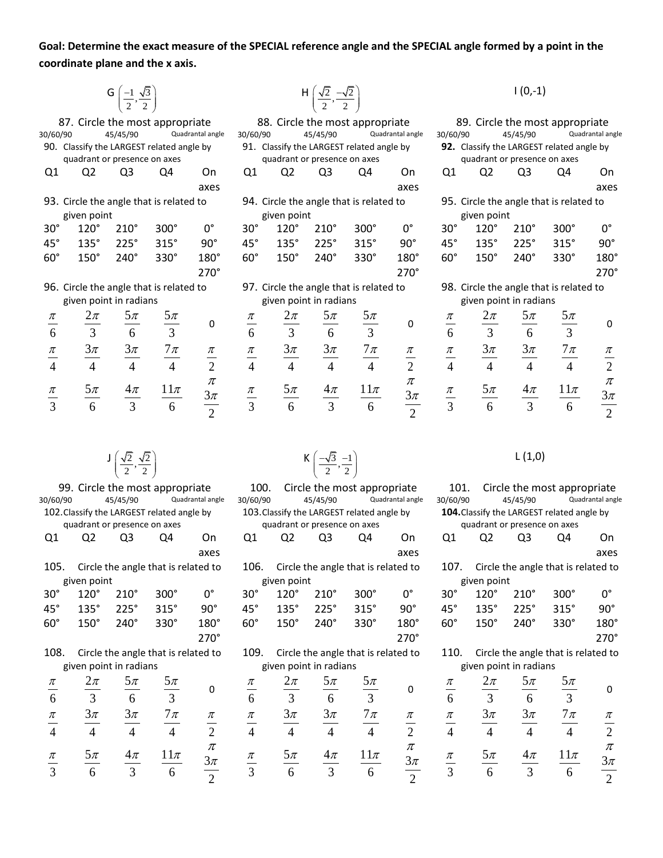**Goal: Determine the exact measure of the SPECIAL reference angle and the SPECIAL angle formed by a point in the coordinate plane and the x axis.**

> G  $\left(\frac{-1}{2}, \frac{\sqrt{3}}{2}\right)$  $\left(\frac{-1}{2}, \frac{\sqrt{3}}{2}\right)$  $(2 \t2)$

|                | 87. Circle the most appropriate           |                          |                |                  |                |                |                              | 88. Circle the most appropriate           |                  |                         |                |                              | 89. Circle the most appropriate           |                  |
|----------------|-------------------------------------------|--------------------------|----------------|------------------|----------------|----------------|------------------------------|-------------------------------------------|------------------|-------------------------|----------------|------------------------------|-------------------------------------------|------------------|
| 30/60/90       |                                           | 45/45/90                 |                | Quadrantal angle | 30/60/90       |                | 45/45/90                     |                                           | Quadrantal angle | 30/60/90                |                | 45/45/90                     |                                           | Quadrantal angle |
|                | 90. Classify the LARGEST related angle by |                          |                |                  |                |                |                              | 91. Classify the LARGEST related angle by |                  |                         |                |                              | 92. Classify the LARGEST related angle by |                  |
|                | quadrant or presence on axes              |                          |                |                  |                |                | quadrant or presence on axes |                                           |                  |                         |                | quadrant or presence on axes |                                           |                  |
| Q1             | Q <sub>2</sub>                            | Q3                       | Q4             | On               | Q <sub>1</sub> | Q <sub>2</sub> | Q <sub>3</sub>               | Q4                                        | On               | Q <sub>1</sub>          | Q <sub>2</sub> | Q3                           | Q4                                        | On               |
|                |                                           |                          |                | axes             |                |                |                              |                                           | axes             |                         |                |                              |                                           | axes             |
|                | 93. Circle the angle that is related to   |                          |                |                  |                |                |                              | 94. Circle the angle that is related to   |                  |                         |                |                              | 95. Circle the angle that is related to   |                  |
|                | given point                               |                          |                |                  |                | given point    |                              |                                           |                  |                         | given point    |                              |                                           |                  |
| $30^\circ$     | $120^\circ$                               | $210^\circ$              | $300^\circ$    | $0^{\circ}$      | $30^\circ$     | $120^\circ$    | $210^\circ$                  | $300^\circ$                               | $0^{\circ}$      | $30^{\circ}$            | $120^\circ$    | $210^\circ$                  | $300^\circ$                               | 0°               |
| $45^\circ$     | $135^\circ$                               | $225^\circ$              | 315°           | $90^\circ$       | $45^{\circ}$   | $135^\circ$    | 225°                         | $315^\circ$                               | $90^\circ$       | $45^\circ$              | $135^\circ$    | 225°                         | 315°                                      | $90^\circ$       |
| $60^\circ$     | $150^\circ$                               | $240^\circ$              | 330°           | $180^\circ$      | $60^\circ$     | $150^\circ$    | $240^\circ$                  | 330°                                      | $180^\circ$      | $60^\circ$              | $150^\circ$    | $240^\circ$                  | 330°                                      | $180^\circ$      |
|                |                                           |                          |                |                  |                |                |                              |                                           |                  |                         |                |                              |                                           |                  |
|                |                                           |                          |                | $270^\circ$      |                |                |                              |                                           | $270^\circ$      |                         |                |                              |                                           | $270^\circ$      |
|                | 96. Circle the angle that is related to   |                          |                |                  |                |                |                              | 97. Circle the angle that is related to   |                  |                         |                |                              | 98. Circle the angle that is related to   |                  |
|                | given point in radians                    |                          |                |                  |                |                | given point in radians       |                                           |                  |                         |                | given point in radians       |                                           |                  |
| π              | $2\pi$                                    | $5\pi$                   | $5\pi$         |                  | π              | $2\pi$         | $5\pi$                       | $5\pi$                                    |                  | π                       | $2\pi$         | $5\pi$                       | $5\pi$                                    |                  |
| 6              | 3                                         | 6                        | $\overline{3}$ | 0                | 6              | $\overline{3}$ | 6                            | $\overline{3}$                            | 0                | $\frac{1}{6}$           | $\overline{3}$ | 6                            | $\overline{3}$                            | 0                |
| $\pi$          | $3\pi$                                    | $3\pi$                   | $7\pi$         | $\pi$            | $\pi$          | $3\pi$         | $3\pi$                       | $7\pi$                                    | $\pi$            | $\pi$                   | $3\pi$         | $3\pi$                       | $7\pi$                                    | π                |
| $\overline{4}$ | $\overline{4}$                            | $\overline{4}$           | $\overline{4}$ | $\overline{2}$   | $\overline{4}$ | $\overline{4}$ | $\overline{4}$               | $\overline{4}$                            | $\overline{2}$   | $\overline{4}$          | $\overline{4}$ | $\overline{4}$               | $\overline{4}$                            | $\overline{2}$   |
|                |                                           |                          |                | $\pi$            |                |                |                              |                                           | π                |                         |                |                              |                                           | $\pi$            |
| π              | $5\pi$<br>6                               | $4\pi$<br>$\overline{3}$ | $11\pi$<br>6   | $3\pi$           | $\pi$<br>3     | $5\pi$<br>6    | $4\pi$<br>$\overline{3}$     | $11\pi$<br>6                              | $3\pi$           | $\pi$<br>$\overline{3}$ | $5\pi$<br>6    | $4\pi$<br>$\overline{3}$     | $11\pi$<br>6                              | $3\pi$           |

| 87. Circle the most appropriate       |                |                |                  |                |                |                              | 88. Circle the most appropriate           |                  |                |                |                              | 89. Circle the most appropriate           |                 |
|---------------------------------------|----------------|----------------|------------------|----------------|----------------|------------------------------|-------------------------------------------|------------------|----------------|----------------|------------------------------|-------------------------------------------|-----------------|
| 1/90                                  | 45/45/90       |                | Quadrantal angle | 30/60/90       |                | 45/45/90                     |                                           | Quadrantal angle | 30/60/90       |                | 45/45/90                     |                                           | Quadrantal ang  |
| Classify the LARGEST related angle by |                |                |                  |                |                |                              | 91. Classify the LARGEST related angle by |                  |                |                |                              | 92. Classify the LARGEST related angle by |                 |
| quadrant or presence on axes          |                |                |                  |                |                | quadrant or presence on axes |                                           |                  |                |                | quadrant or presence on axes |                                           |                 |
| Q <sub>2</sub>                        | Q <sub>3</sub> | Q4             | On               | Q <sub>1</sub> | Q <sub>2</sub> | Q <sub>3</sub>               | Q4                                        | On               | Q1             | Q <sub>2</sub> | Q <sub>3</sub>               | Q4                                        | On              |
|                                       |                |                | axes             |                |                |                              |                                           | axes             |                |                |                              |                                           | axes            |
| Circle the angle that is related to   |                |                |                  |                |                |                              | 94. Circle the angle that is related to   |                  |                |                |                              | 95. Circle the angle that is related to   |                 |
| given point                           |                |                |                  |                | given point    |                              |                                           |                  |                | given point    |                              |                                           |                 |
| $120^\circ$                           | $210^\circ$    | $300^\circ$    | $0^{\circ}$      | $30^\circ$     | $120^\circ$    | $210^\circ$                  | $300^\circ$                               | $0^{\circ}$      | $30^\circ$     | $120^\circ$    | $210^\circ$                  | 300°                                      | n°              |
| $135^\circ$                           | 225°           | 315°           | $90^{\circ}$     | $45^{\circ}$   | 135°           | 225°                         | 315°                                      | $90^{\circ}$     | $45^{\circ}$   | 135°           | 225°                         | 315°                                      | $90^\circ$      |
| 150°                                  | 240°           | 330°           | 180°             | $60^\circ$     | 150°           | $240^\circ$                  | 330°                                      | 180°             | $60^\circ$     | 150°           | $240^\circ$                  | 330°                                      | 180°            |
|                                       |                |                | $270^\circ$      |                |                |                              |                                           | $270^\circ$      |                |                |                              |                                           | $270^\circ$     |
| Circle the angle that is related to   |                |                |                  |                |                |                              | 97. Circle the angle that is related to   |                  |                |                |                              | 98. Circle the angle that is related to   |                 |
| given point in radians                |                |                |                  |                |                | given point in radians       |                                           |                  |                |                | given point in radians       |                                           |                 |
| $2\pi$                                | $5\pi$         | $5\pi$         |                  | $\pi$          | $2\pi$         | $5\pi$                       | $5\pi$                                    |                  | $\pi$          | $2\pi$         | $5\pi$                       | $\frac{5\pi}{4}$                          |                 |
| $\overline{3}$                        | 6              | $\overline{3}$ | 0                | 6              | 3              | 6                            | $\overline{3}$                            | 0                | —<br>6         | $\overline{3}$ | 6                            | $\overline{3}$                            | $\mathbf{0}$    |
|                                       |                |                |                  |                |                |                              |                                           |                  |                |                |                              |                                           |                 |
| $3\pi$                                | $3\pi$         | $7\pi$         | π                | $\pi$          | $3\pi$         | $3\pi$                       | $7\pi$                                    | π                | $\pi$          | $3\pi$         | $3\pi$                       | $7\pi$                                    | $\frac{\pi}{2}$ |
| $\overline{4}$                        | $\overline{4}$ | $\overline{4}$ | $\overline{2}$   | $\overline{4}$ | $\overline{4}$ | $\overline{4}$               | $\overline{4}$                            | $\overline{2}$   | $\overline{4}$ | $\overline{4}$ | $\overline{4}$               | $\overline{4}$                            |                 |
|                                       |                |                | $\pi$            |                |                |                              |                                           | $\pi$            |                |                |                              |                                           | $\pi$           |
| $5\pi$                                | $4\pi$         | $11\pi$        | $3\pi$           | $\pi$          | $5\pi$         | $4\pi$                       | $11\pi$                                   | $3\pi$           | $\pi$          | $5\pi$         | $4\pi$                       | $11\pi$                                   | $3\pi$          |
| 6                                     | $\overline{3}$ | 6              | $\overline{2}$   | $\frac{1}{3}$  | 6              | $\overline{3}$               | 6                                         | $\overline{2}$   | $\overline{3}$ | 6              | $\overline{3}$               | 6                                         | $\overline{2}$  |
|                                       |                |                |                  |                |                |                              |                                           |                  |                |                |                              |                                           |                 |

 $1(0,-1)$ 

|                          |                 |             |                              | 89. Circle the most appropriate           |                        |
|--------------------------|-----------------|-------------|------------------------------|-------------------------------------------|------------------------|
| ngle                     | 30/60/90        |             | 45/45/90                     |                                           | Quadrantal angle       |
|                          |                 |             |                              | 92. Classify the LARGEST related angle by |                        |
|                          |                 |             | quadrant or presence on axes |                                           |                        |
|                          | Q1              | Q2          | Q3                           | Q4                                        | On                     |
| ΞŚ                       |                 |             |                              |                                           | axes                   |
|                          |                 |             |                              | 95. Circle the angle that is related to   |                        |
|                          |                 | given point |                              |                                           |                        |
|                          | $30^\circ$      | $120^\circ$ | $210^\circ$                  | 300°                                      | 0°                     |
| ۱°                       | $45^{\circ}$    | $135^\circ$ | 225°                         | 315°                                      | $90^\circ$             |
| ጋ°                       | $60^\circ$      | 150°        | $240^\circ$                  | 330°                                      | 180°                   |
| ງ°                       |                 |             |                              |                                           | 270°                   |
|                          |                 |             |                              | 98. Circle the angle that is related to   |                        |
|                          |                 |             | given point in radians       |                                           |                        |
|                          | π               | $2\pi$      | $5\pi$                       | $5\pi$                                    |                        |
|                          | 6               | 3           | 6                            | $\overline{3}$                            | 0                      |
|                          |                 | $3\pi$      | $3\pi$                       | $7\pi$                                    | $\frac{\pi}{\sqrt{2}}$ |
| $\frac{5}{2}$            | $\frac{\pi}{4}$ | 4           | 4                            | 4                                         | $\overline{2}$         |
| $\overline{\mathcal{C}}$ |                 |             | $4\pi$                       | $11\pi$                                   | $\pi$                  |
| $\pi$                    | $\frac{\pi}{3}$ | $5\pi$      |                              |                                           | $3\pi$                 |
| $\overline{2}$           |                 | 6           | 3                            | 6                                         | $\overline{2}$         |

 $J\left(\frac{\sqrt{2}}{2},\frac{\sqrt{2}}{2}\right)$  $(2 \t2)$ 

|                 |                |                              | 99. Circle the most appropriate            |                  | 100.                   |                |                              | Circle the most appropriate                |                  | 101.            |                |                              | Circle the most appropriate                |                  |
|-----------------|----------------|------------------------------|--------------------------------------------|------------------|------------------------|----------------|------------------------------|--------------------------------------------|------------------|-----------------|----------------|------------------------------|--------------------------------------------|------------------|
| 30/60/90        |                | 45/45/90                     |                                            | Quadrantal angle | 30/60/90               |                | 45/45/90                     |                                            | Quadrantal angle | 30/60/90        |                | 45/45/90                     |                                            | Quadrantal angle |
|                 |                |                              | 102. Classify the LARGEST related angle by |                  |                        |                |                              | 103. Classify the LARGEST related angle by |                  |                 |                |                              | 104. Classify the LARGEST related angle by |                  |
|                 |                | quadrant or presence on axes |                                            |                  |                        |                | quadrant or presence on axes |                                            |                  |                 |                | quadrant or presence on axes |                                            |                  |
| Q1              | Q <sub>2</sub> | Q3                           | Q4                                         | On               | Q <sub>1</sub>         | Q <sub>2</sub> | Q3                           | Q4                                         | On               | Q <sub>1</sub>  | Q <sub>2</sub> | Q <sub>3</sub>               | Q4                                         | On.              |
|                 |                |                              |                                            | axes             |                        |                |                              |                                            | axes             |                 |                |                              |                                            | axes             |
| 105.            |                |                              | Circle the angle that is related to        |                  | 106.                   |                |                              | Circle the angle that is related to        |                  | 107.            |                |                              | Circle the angle that is related to        |                  |
|                 | given point    |                              |                                            |                  |                        | given point    |                              |                                            |                  |                 | given point    |                              |                                            |                  |
| $30^\circ$      | $120^\circ$    | $210^\circ$                  | $300^\circ$                                | $0^{\circ}$      | $30^\circ$             | $120^\circ$    | $210^\circ$                  | $300^\circ$                                | 0°               | $30^\circ$      | $120^\circ$    | $210^\circ$                  | 300°                                       | $0^{\circ}$      |
| $45^\circ$      | 135°           | 225°                         | 315°                                       | $90^\circ$       | $45^{\circ}$           | $135^\circ$    | 225°                         | 315°                                       | $90^\circ$       | $45^{\circ}$    | 135°           | 225°                         | 315°                                       | $90^\circ$       |
| $60^\circ$      | 150°           | 240°                         | 330°                                       | 180°             | $60^\circ$             | $150^\circ$    | 240°                         | 330°                                       | 180°             | $60^\circ$      | 150°           | $240^\circ$                  | 330°                                       | 180°             |
|                 |                |                              |                                            | $270^\circ$      |                        |                |                              |                                            | $270^\circ$      |                 |                |                              |                                            | $270^\circ$      |
| 108.            |                |                              | Circle the angle that is related to        |                  | 109.                   |                |                              | Circle the angle that is related to        |                  | 110.            |                |                              | Circle the angle that is related to        |                  |
|                 |                | given point in radians       |                                            |                  |                        |                | given point in radians       |                                            |                  |                 |                | given point in radians       |                                            |                  |
| $\pi$           | $2\pi$         | $5\pi$                       | $5\pi$                                     | 0                | $\pi$                  | $2\pi$         | $5\pi$                       | $\frac{5\pi}{4}$                           | 0                | $\pi$           | $2\pi$         | $5\pi$                       | $5\pi$                                     | 0                |
| 6               | $\overline{3}$ | 6                            | $\overline{3}$                             |                  | 6                      | $\mathfrak{Z}$ | 6                            | $\overline{3}$                             |                  | 6               | 3              | 6                            | $\overline{3}$                             |                  |
| $\pi$           | $3\pi$         | $3\pi$                       | $7\pi$                                     | $\pi$            | $\pi$                  | $3\pi$         | $3\pi$                       | $7\pi$                                     | π                | $\pi$           | $3\pi$         | $3\pi$                       | $7\pi$                                     | $\pi$            |
| $\overline{4}$  | $\overline{4}$ | $\overline{4}$               | $\overline{4}$                             | $\overline{2}$   | $\overline{4}$         | $\overline{4}$ | $\overline{4}$               | $\overline{4}$                             | $\frac{1}{2}$    | $\frac{1}{4}$   | $\overline{4}$ | $\overline{4}$               | $\overline{4}$                             | $\overline{2}$   |
|                 |                |                              |                                            | π                |                        |                |                              |                                            | π                |                 |                |                              |                                            | $\pi$            |
| $\frac{\pi}{ }$ | $5\pi$         | $4\pi$                       | $11\pi$                                    | $3\pi$           | $\frac{\pi}{\sqrt{2}}$ | $5\pi$         | $4\pi$                       | $11\pi$                                    | $3\pi$           | $\frac{\pi}{3}$ | $5\pi$         | $4\pi$                       | $11\pi$                                    | $3\pi$           |
| $\overline{3}$  | 6              | $\overline{3}$               | 6                                          | $\overline{2}$   | $\overline{3}$         | 6              | $\overline{3}$               | 6                                          | $\overline{2}$   |                 | 6              | $\overline{3}$               | 6                                          | $\overline{2}$   |
|                 |                |                              |                                            |                  |                        |                |                              |                                            |                  |                 |                |                              |                                            |                  |

|                |                |                              | 99. Circle the most appropriate            |                  | 100.           |                |                              | Circle the most appropriate                |                  | 101.           |                |                              | Circle the most appropriate                       |                  |
|----------------|----------------|------------------------------|--------------------------------------------|------------------|----------------|----------------|------------------------------|--------------------------------------------|------------------|----------------|----------------|------------------------------|---------------------------------------------------|------------------|
| 0/60/90        |                | 45/45/90                     |                                            | Quadrantal angle | 30/60/90       |                | 45/45/90                     |                                            | Quadrantal angle | 30/60/90       |                | 45/45/90                     |                                                   | Quadrantal angl  |
|                |                |                              | 102. Classify the LARGEST related angle by |                  |                |                |                              | 103. Classify the LARGEST related angle by |                  |                |                |                              | <b>104.</b> Classify the LARGEST related angle by |                  |
|                |                | quadrant or presence on axes |                                            |                  |                |                | quadrant or presence on axes |                                            |                  |                |                | quadrant or presence on axes |                                                   |                  |
| Q1             | Q <sub>2</sub> | Q3                           | Q4                                         | On.              | Q1             | Q <sub>2</sub> | Q <sub>3</sub>               | Q4                                         | On               | Q1             | Q <sub>2</sub> | Q3                           | Q4                                                | On.              |
|                |                |                              |                                            | axes             |                |                |                              |                                            | axes             |                |                |                              |                                                   | axes             |
| 105.           |                |                              | Circle the angle that is related to        |                  | 106.           |                |                              | Circle the angle that is related to        |                  | 107.           |                |                              | Circle the angle that is related to               |                  |
|                | given point    |                              |                                            |                  |                | given point    |                              |                                            |                  |                | given point    |                              |                                                   |                  |
| 30°            | $120^\circ$    | $210^\circ$                  | $300^\circ$                                | $0^{\circ}$      | $30^{\circ}$   | $120^\circ$    | $210^\circ$                  | $300^\circ$                                | $0^{\circ}$      | 30°            | $120^\circ$    | $210^\circ$                  | 300°                                              | $\Omega^{\circ}$ |
| 45°            | 135°           | 225°                         | 315°                                       | $90^\circ$       | $45^{\circ}$   | 135°           | 225°                         | 315°                                       | $90^\circ$       | $45^{\circ}$   | 135°           | 225°                         | 315°                                              | $90^\circ$       |
| 60°            | 150°           | 240°                         | 330°                                       | 180°             | $60^\circ$     | $150^\circ$    | $240^\circ$                  | 330°                                       | 180°             | $60^\circ$     | $150^\circ$    | $240^\circ$                  | 330°                                              | 180°             |
|                |                |                              |                                            | $270^\circ$      |                |                |                              |                                            | $270^\circ$      |                |                |                              |                                                   | $270^\circ$      |
| 108.           |                |                              | Circle the angle that is related to        |                  | 109.           |                |                              | Circle the angle that is related to        |                  | 110.           |                |                              | Circle the angle that is related to               |                  |
|                |                | given point in radians       |                                            |                  |                |                | given point in radians       |                                            |                  |                |                | given point in radians       |                                                   |                  |
| π              | $2\pi$         | $5\pi$                       | $5\pi$                                     |                  | π              | $2\pi$         | $5\pi$                       | $5\pi$                                     |                  | π              | $2\pi$         | $5\pi$                       |                                                   |                  |
| 6              | $\overline{3}$ | 6                            | $\overline{3}$                             | 0                | 6              | $\overline{3}$ | 6                            | $\overline{3}$                             | 0                | 6              | 3              | 6                            | $\frac{5\pi}{3}$                                  | 0                |
| $\pi$          | $3\pi$         | $3\pi$                       | $7\pi$                                     | $\pi$            | $\pi$          | $3\pi$         | $3\pi$                       | $7\pi$                                     | $\pi$            | $\pi$          | $3\pi$         | $3\pi$                       | $7\pi$                                            | $\pi$            |
| $\overline{4}$ | $\overline{4}$ | $\overline{4}$               | $\overline{4}$                             | $\overline{2}$   | $\overline{4}$ | $\overline{4}$ | $\overline{4}$               | $\overline{4}$                             | $\overline{2}$   | $\overline{4}$ | $\overline{4}$ | $\overline{4}$               | $\overline{4}$                                    | $\overline{2}$   |
|                |                |                              |                                            | π                |                |                |                              |                                            | π                |                |                |                              |                                                   | $\pi$            |
| $\pi$          | $5\pi$         | $4\pi$                       | $11\pi$                                    | $3\pi$           | π              | $5\pi$         | $4\pi$                       | $11\pi$                                    | $3\pi$           | π              | $5\pi$         | $4\pi$                       | $11\pi$                                           | $3\pi$           |
| $\overline{3}$ | 6              | $\overline{3}$               | 6                                          | $\overline{2}$   | 3              | 6              | 3                            | 6                                          | $\mathfrak{D}$   | 3              | 6              | $\overline{3}$               | 6                                                 | $\overline{2}$   |

## L (1,0)

| e<br>ngle      | 101.<br>30/60/90 |             | 45/45/90                     | Circle the most appropriate                | Quadrantal angle       |
|----------------|------------------|-------------|------------------------------|--------------------------------------------|------------------------|
|                |                  |             |                              | 104. Classify the LARGEST related angle by |                        |
|                |                  |             | quadrant or presence on axes |                                            |                        |
|                |                  |             |                              |                                            |                        |
| ٦              | Q1               | Q2          | Q3                           | Q4                                         | On                     |
| эS             |                  |             |                              |                                            | axes                   |
| to             | 107.             |             |                              | Circle the angle that is related to        |                        |
|                |                  | given point |                              |                                            |                        |
|                | $30^\circ$       | $120^\circ$ | $210^\circ$                  | 300°                                       | О°                     |
| ۱°             | $45^{\circ}$     | $135^\circ$ | 225°                         | 315°                                       | $90^\circ$             |
| ጋ°             | $60^\circ$       | 150°        | 240°                         | 330°                                       | 180°                   |
| ጋ°             |                  |             |                              |                                            | $270^\circ$            |
| to             | 110.             |             |                              | Circle the angle that is related to        |                        |
|                |                  |             | given point in radians       |                                            |                        |
|                | π                | $2\pi$      | $5\pi$                       | $5\pi$                                     |                        |
|                | 6                | 3           | 6                            | $\overline{3}$                             | 0                      |
|                |                  |             |                              |                                            |                        |
|                |                  | $3\pi$      | $3\pi$                       | $7\pi$                                     | $\frac{\pi}{\sqrt{2}}$ |
| $\frac{5}{2}$  | $\frac{\pi}{4}$  | 4           | 4                            | 4                                          | $\overline{2}$         |
| $\overline{c}$ |                  |             |                              |                                            | $\pi$                  |
| π              | $\frac{\pi}{3}$  | $5\pi$      | $4\pi$                       | $11\pi$                                    | $3\pi$                 |
| $\overline{2}$ |                  | 6           | 3                            | 6                                          | $\overline{2}$         |
|                |                  |             |                              |                                            |                        |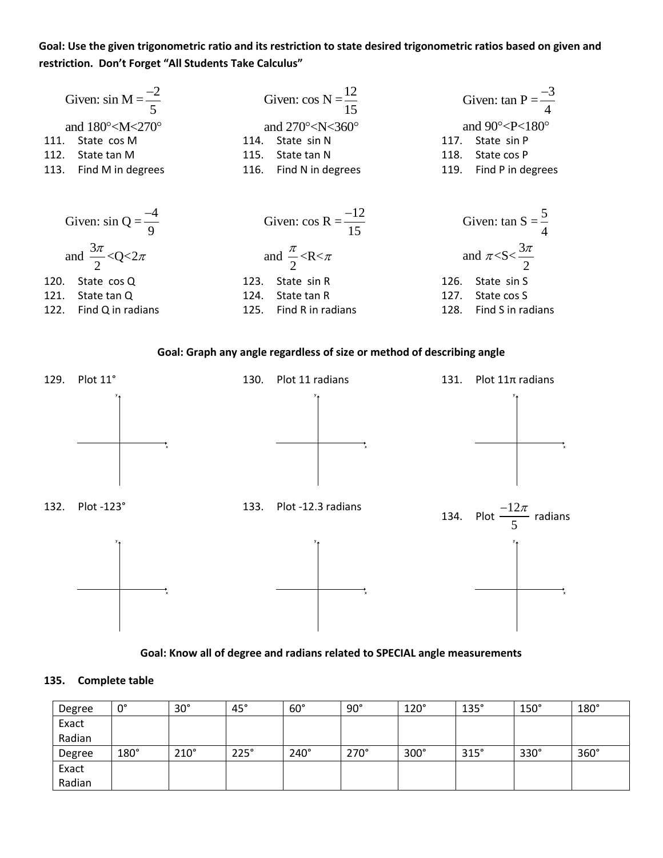## **Goal: Use the given trigonometric ratio and its restriction to state desired trigonometric ratios based on given and restriction. Don't Forget "All Students Take Calculus"**

| Given: $\sin M = \frac{-2}{5}$                     | Given: $\cos N = \frac{12}{15}$                    | Given: $\tan P = \frac{-3}{4}$                    |  |  |  |
|----------------------------------------------------|----------------------------------------------------|---------------------------------------------------|--|--|--|
| and $180^{\circ}$ <m 270<math="" <="">^{\circ}</m> | and $270^{\circ}$ <n 360<math="" <="">^{\circ}</n> | and $90^{\circ}$ <p 180<math="" <="">^{\circ}</p> |  |  |  |
| State cos M                                        | State sin N                                        | State sin P                                       |  |  |  |
| 111.                                               | 114.                                               | 117.                                              |  |  |  |
| 112.                                               | State tan N                                        | State cos P                                       |  |  |  |
| State tan M                                        | 115.                                               | 118.                                              |  |  |  |
| Find M in degrees                                  | Find N in degrees                                  | Find P in degrees                                 |  |  |  |
| 113.                                               | 116.                                               | 119.                                              |  |  |  |
|                                                    |                                                    | Given: tan S = $\frac{5}{4}$                      |  |  |  |
| Given: $\sin Q = \frac{-4}{9}$                     | Given: cos R = $\frac{-12}{15}$                    |                                                   |  |  |  |
| and $\frac{3\pi}{2}$ <q<2<math>\pi</q<2<math>      | and $\frac{\pi}{2}$ <r <="" <math="">\pi</r>       | and $\pi < S < \frac{3\pi}{2}$                    |  |  |  |
| State cos Q                                        | State sin R                                        | State sin S                                       |  |  |  |
| 120.                                               | 123.                                               | 126.                                              |  |  |  |
| 121.                                               | 124.                                               | State cos S                                       |  |  |  |
| State tan Q                                        | State tan R                                        | 127.                                              |  |  |  |

#### **Goal: Graph any angle regardless of size or method of describing angle**



#### **Goal: Know all of degree and radians related to SPECIAL angle measurements**

#### **135. Complete table**

| Degree | 0°   | $30^\circ$  | $45^{\circ}$ | $60^\circ$  | $90^\circ$ | $120^\circ$ | $135^\circ$ | $150^\circ$ | $180^\circ$ |
|--------|------|-------------|--------------|-------------|------------|-------------|-------------|-------------|-------------|
| Exact  |      |             |              |             |            |             |             |             |             |
| Radian |      |             |              |             |            |             |             |             |             |
| Degree | 180° | $210^\circ$ | 225°         | $240^\circ$ | 270°       | $300^\circ$ | 315°        | $330^\circ$ | $360^\circ$ |
| Exact  |      |             |              |             |            |             |             |             |             |
| Radian |      |             |              |             |            |             |             |             |             |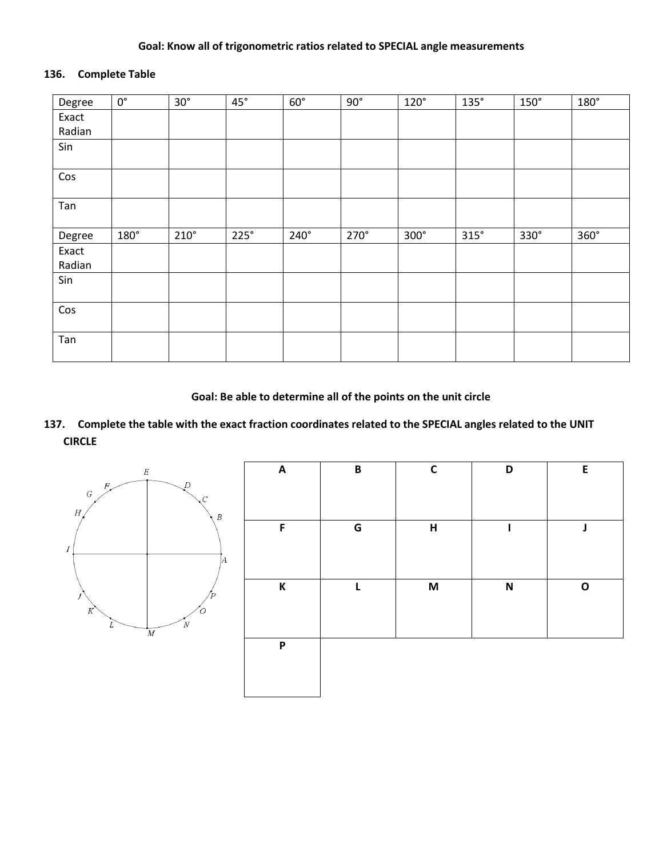#### **Goal: Know all of trigonometric ratios related to SPECIAL angle measurements**

## **136. Complete Table**

| Degree | $0^{\circ}$ | $30^\circ$  | $45^{\circ}$ | $60^\circ$  | $90^{\circ}$ | $120^\circ$ | $135^\circ$ | $150^\circ$ | 180°        |
|--------|-------------|-------------|--------------|-------------|--------------|-------------|-------------|-------------|-------------|
| Exact  |             |             |              |             |              |             |             |             |             |
| Radian |             |             |              |             |              |             |             |             |             |
| Sin    |             |             |              |             |              |             |             |             |             |
| Cos    |             |             |              |             |              |             |             |             |             |
| Tan    |             |             |              |             |              |             |             |             |             |
| Degree | 180°        | $210^\circ$ | $225^\circ$  | $240^\circ$ | 270°         | 300°        | 315°        | 330°        | $360^\circ$ |
| Exact  |             |             |              |             |              |             |             |             |             |
| Radian |             |             |              |             |              |             |             |             |             |
| Sin    |             |             |              |             |              |             |             |             |             |
| Cos    |             |             |              |             |              |             |             |             |             |
| Tan    |             |             |              |             |              |             |             |             |             |

**Goal: Be able to determine all of the points on the unit circle**

## **137. Complete the table with the exact fraction coordinates related to the SPECIAL angles related to the UNIT CIRCLE**



| $\boldsymbol{\mathsf{A}}$ | $\pmb B$ | $\mathsf C$        | D                         | E |
|---------------------------|----------|--------------------|---------------------------|---|
| F                         | G        | $\pmb{\mathsf{H}}$ |                           | J |
| K                         | L        | M                  | $\boldsymbol{\mathsf{N}}$ | O |
| P                         |          |                    |                           |   |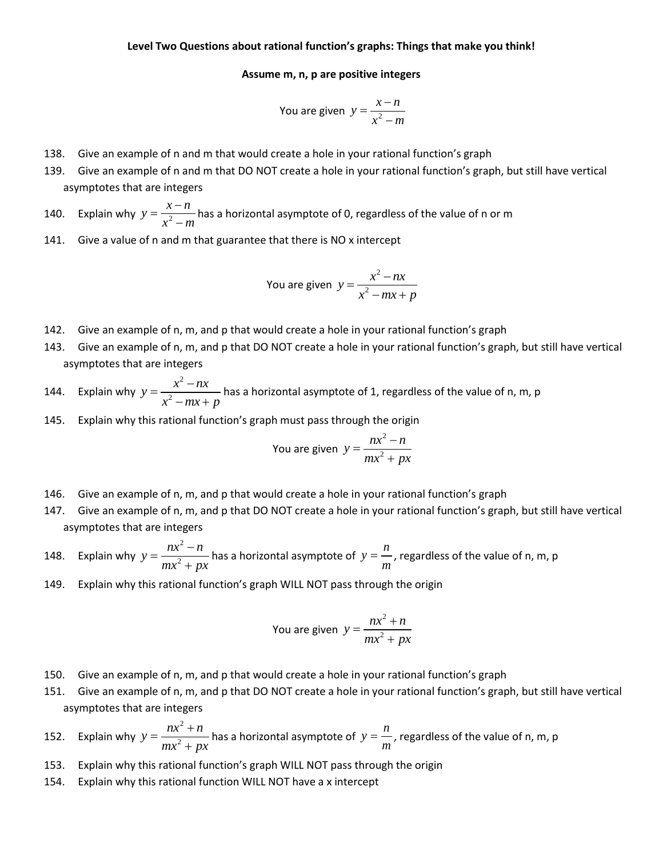#### **Assume m, n, p are positive integers**

You are given 
$$
y = \frac{x - n}{x^2 - m}
$$

- 138. Give an example of n and m that would create a hole in your rational function's graph
- 139. Give an example of n and m that DO NOT create a hole in your rational function's graph, but still have vertical asymptotes that are integers
- 140. Explain why  $y = \frac{R}{x^2}$  $y = \frac{x - n}{2}$  $x^2 - m$  $=\frac{x-}{2}$  $\frac{1}{n}$  has a horizontal asymptote of 0, regardless of the value of n or m<br>–  $m$
- 141. Give a value of n and m that guarantee that there is NO x intercept

You are given 
$$
y = \frac{x^2 - nx}{x^2 - mx + p}
$$

- 142. Give an example of n, m, and p that would create a hole in your rational function's graph
- 143. Give an example of n, m, and p that DO NOT create a hole in your rational function's graph, but still have vertical asymptotes that are integers
- 144. Explain why 2 2  $y = \frac{x^2 - nx}{2}$  $x^2 - mx + p$  $=\frac{x^2-1}{x^2-1}$  $\frac{1}{1-\frac{1}{1-\frac{1}{1-\frac{1}{\cdots}}}}$  has a horizontal asymptote of 1, regardless of the value of n, m, p
- 145. Explain why this rational function's graph must pass through the origin

You are given 
$$
y = \frac{nx^2 - n}{mx^2 + px}
$$

- 146. Give an example of n, m, and p that would create a hole in your rational function's graph
- 147. Give an example of n, m, and p that DO NOT create a hole in your rational function's graph, but still have vertical asymptotes that are integers
- 148. Explain why 2 2  $y = \frac{nx^2 - n}{2}$  $mx^2 + px$  $=\frac{nx^2-1}{2}$  $\frac{1}{x}$  has a horizontal asymptote of  $+ px$  $y = \frac{n}{2}$ *m*  $=\frac{n}{r}$ , regardless of the value of n, m, p
- 149. Explain why this rational function's graph WILL NOT pass through the origin

You are given 
$$
y = \frac{nx^2 + n}{mx^2 + px}
$$

- 150. Give an example of n, m, and p that would create a hole in your rational function's graph
- 151. Give an example of n, m, and p that DO NOT create a hole in your rational function's graph, but still have vertical asymptotes that are integers
- 152. Explain why 2 2  $y = \frac{nx^2 + n}{x}$  $mx^2 + px$  $=\frac{nx^2+}{2}$  $\frac{1}{x}$  has a horizontal asymptote of  $+ px$  $y = \frac{n}{2}$ *m*  $=\frac{n}{r}$ , regardless of the value of n, m, p
- 153. Explain why this rational function's graph WILL NOT pass through the origin
- 154. Explain why this rational function WILL NOT have a x intercept